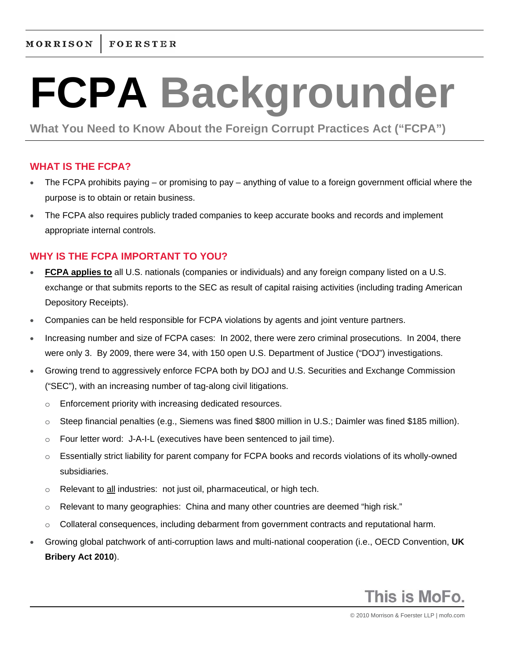# **FCPA Backgrounder**

**What You Need to Know About the Foreign Corrupt Practices Act ("FCPA")**

# **WHAT IS THE FCPA?**

- The FCPA prohibits paying or promising to pay anything of value to a foreign government official where the purpose is to obtain or retain business.
- The FCPA also requires publicly traded companies to keep accurate books and records and implement appropriate internal controls.

# **WHY IS THE FCPA IMPORTANT TO YOU?**

- **FCPA applies to** all U.S. nationals (companies or individuals) and any foreign company listed on a U.S. exchange or that submits reports to the SEC as result of capital raising activities (including trading American Depository Receipts).
- Companies can be held responsible for FCPA violations by agents and joint venture partners.
- Increasing number and size of FCPA cases: In 2002, there were zero criminal prosecutions. In 2004, there were only 3. By 2009, there were 34, with 150 open U.S. Department of Justice ("DOJ") investigations.
- Growing trend to aggressively enforce FCPA both by DOJ and U.S. Securities and Exchange Commission ("SEC"), with an increasing number of tag-along civil litigations.
	- o Enforcement priority with increasing dedicated resources.
	- o Steep financial penalties (e.g., Siemens was fined \$800 million in U.S.; Daimler was fined \$185 million).
	- o Four letter word: J-A-I-L (executives have been sentenced to jail time).
	- $\circ$  Essentially strict liability for parent company for FCPA books and records violations of its wholly-owned subsidiaries.
	- $\circ$  Relevant to all industries: not just oil, pharmaceutical, or high tech.
	- $\circ$  Relevant to many geographies: China and many other countries are deemed "high risk."
	- $\circ$  Collateral consequences, including debarment from government contracts and reputational harm.
- Growing global patchwork of anti-corruption laws and multi-national cooperation (i.e., OECD Convention, **UK Bribery Act 2010**).

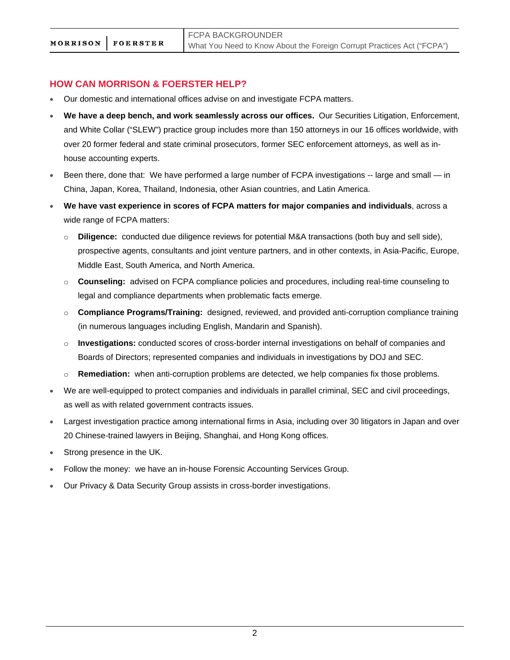## **HOW CAN MORRISON & FOERSTER HELP?**

- Our domestic and international offices advise on and investigate FCPA matters.
- **We have a deep bench, and work seamlessly across our offices.** Our Securities Litigation, Enforcement, and White Collar ("SLEW") practice group includes more than 150 attorneys in our 16 offices worldwide, with over 20 former federal and state criminal prosecutors, former SEC enforcement attorneys, as well as inhouse accounting experts.
- Been there, done that: We have performed a large number of FCPA investigations -- large and small in China, Japan, Korea, Thailand, Indonesia, other Asian countries, and Latin America.
- **We have vast experience in scores of FCPA matters for major companies and individuals**, across a wide range of FCPA matters:
	- o **Diligence:** conducted due diligence reviews for potential M&A transactions (both buy and sell side), prospective agents, consultants and joint venture partners, and in other contexts, in Asia-Pacific, Europe, Middle East, South America, and North America.
	- o **Counseling:** advised on FCPA compliance policies and procedures, including real-time counseling to legal and compliance departments when problematic facts emerge.
	- o **Compliance Programs/Training:** designed, reviewed, and provided anti-corruption compliance training (in numerous languages including English, Mandarin and Spanish).
	- o **Investigations:** conducted scores of cross-border internal investigations on behalf of companies and Boards of Directors; represented companies and individuals in investigations by DOJ and SEC.
	- o **Remediation:** when anti-corruption problems are detected, we help companies fix those problems.
- We are well-equipped to protect companies and individuals in parallel criminal, SEC and civil proceedings, as well as with related government contracts issues.
- Largest investigation practice among international firms in Asia, including over 30 litigators in Japan and over 20 Chinese-trained lawyers in Beijing, Shanghai, and Hong Kong offices.
- Strong presence in the UK.
- Follow the money: we have an in-house Forensic Accounting Services Group.
- Our Privacy & Data Security Group assists in cross-border investigations.